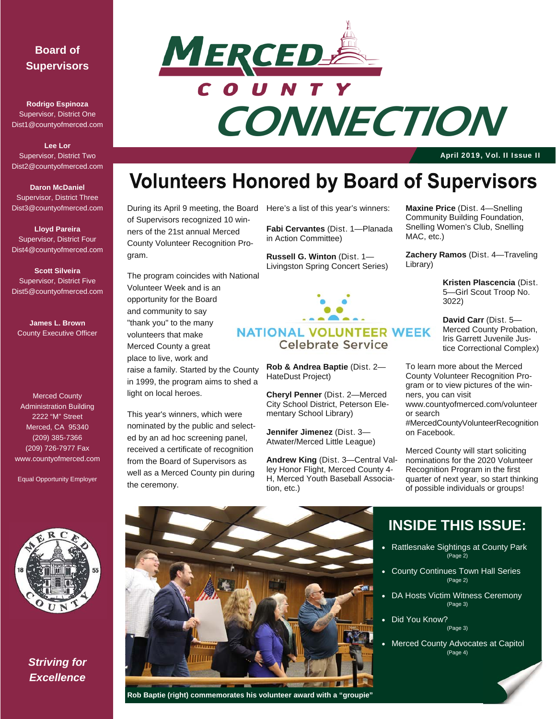#### **Board of Supervisors**

**Rodrigo Espinoza**  Supervisor, District One Dist1@countyofmerced.com

**Lee Lor**  Supervisor, District Two Dist2@countyofmerced.com

#### **Daron McDaniel**  Supervisor, District Three Dist3@countyofmerced.com

**Lloyd Pareira**  Supervisor, District Four Dist4@countyofmerced.com

**Scott Silveira**  Supervisor, District Five Dist5@countyofmerced.com

**James L. Brown**  County Executive Officer

Merced County Administration Building 2222 "M" Street Merced, CA 95340 (209) 385-7366 (209) 726-7977 Fax www.countyofmerced.com

Equal Opportunity Employer



*Striving for Excellence* 



# **CONNECTION**

April 2019, Vol. II Issue II

## **Volunteers Honored by Board of Supervisors**

During its April 9 meeting, the Board Here's a list of this year's winners: of Supervisors recognized 10 winners of the 21st annual Merced County Volunteer Recognition Program.

The program coincides with National Volunteer Week and is an opportunity for the Board and community to say "thank you" to the many volunteers that make Merced County a great place to live, work and

raise a family. Started by the County in 1999, the program aims to shed a light on local heroes.

This year's winners, which were nominated by the public and selected by an ad hoc screening panel, received a certificate of recognition from the Board of Supervisors as well as a Merced County pin during the ceremony.

**Fabi Cervantes** (Dist. 1—Planada in Action Committee)

**Russell G. Winton** (Dist. 1— Livingston Spring Concert Series)



#### **NATIONAL VOLUNTEER WEEK Celebrate Service**

**Rob & Andrea Baptie** (Dist. 2— HateDust Project)

**Cheryl Penner** (Dist. 2—Merced City School District, Peterson Elementary School Library)

**Jennifer Jimenez** (Dist. 3— Atwater/Merced Little League)

**Andrew King** (Dist. 3—Central Valley Honor Flight, Merced County 4- H, Merced Youth Baseball Association, etc.)

**Maxine Price** (Dist. 4—Snelling Community Building Foundation, Snelling Women's Club, Snelling MAC, etc.)

**Zachery Ramos** (Dist. 4—Traveling Library)

> **Kristen Plascencia** (Dist. 5—Girl Scout Troop No. 3022)

> **David Carr** (Dist. 5— Merced County Probation, Iris Garrett Juvenile Justice Correctional Complex)

To learn more about the Merced County Volunteer Recognition Program or to view pictures of the winners, you can visit www.countyofmerced.com/volunteer or search #MercedCountyVolunteerRecognition

on Facebook. Merced County will start soliciting

nominations for the 2020 Volunteer Recognition Program in the first quarter of next year, so start thinking of possible individuals or groups!



 **Rob Baptie (right) commemorates his volunteer award with a "groupie"** 

### **INSIDE THIS ISSUE:**

- Rattlesnake Sightings at County Park .<br>(Page 2)
- County Continues Town Hall Series (Page 2)
- DA Hosts Victim Witness Ceremony (Page 3)
- Did You Know? (Page 3)
- Merced County Advocates at Capitol (Page 4)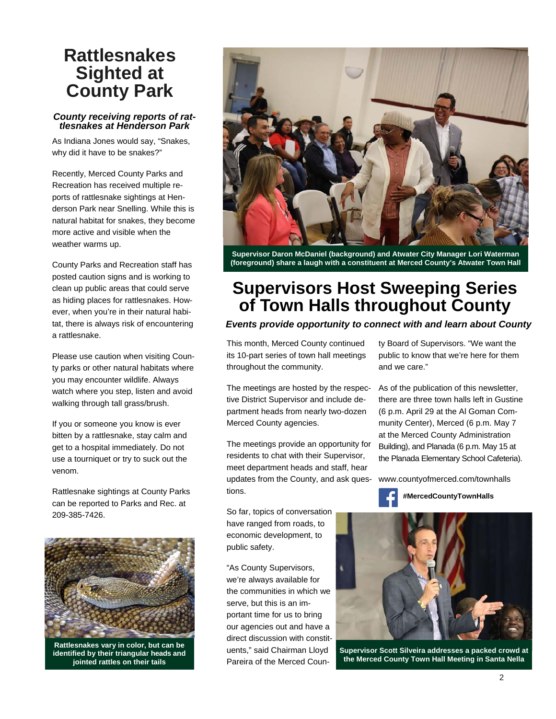## **Rattlesnakes Sighted at County Park**

#### *County receiving reports of rattlesnakes at Henderson Park*

As Indiana Jones would say, "Snakes, why did it have to be snakes?"

Recently, Merced County Parks and Recreation has received multiple reports of rattlesnake sightings at Henderson Park near Snelling. While this is natural habitat for snakes, they become more active and visible when the weather warms up.

County Parks and Recreation staff has posted caution signs and is working to clean up public areas that could serve as hiding places for rattlesnakes. However, when you're in their natural habitat, there is always risk of encountering a rattlesnake.

Please use caution when visiting County parks or other natural habitats where you may encounter wildlife. Always watch where you step, listen and avoid walking through tall grass/brush.

If you or someone you know is ever bitten by a rattlesnake, stay calm and get to a hospital immediately. Do not use a tourniquet or try to suck out the venom.

Rattlesnake sightings at County Parks can be reported to Parks and Rec. at 209-385-7426.



**Rattlesnakes vary in color, but can be identified by their triangular heads and jointed rattles on their tails** 



**Supervisor Daron McDaniel (background) and Atwater City Manager Lori Waterman (foreground) share a laugh with a constituent at Merced County's Atwater Town Hall** 

## **Supervisors Host Sweeping Series of Town Halls throughout County**

#### *Events provide opportunity to connect with and learn about County*

This month, Merced County continued its 10-part series of town hall meetings throughout the community.

The meetings are hosted by the respective District Supervisor and include department heads from nearly two-dozen Merced County agencies.

The meetings provide an opportunity for residents to chat with their Supervisor, meet department heads and staff, hear updates from the County, and ask questions.

So far, topics of conversation have ranged from roads, to economic development, to public safety.

"As County Supervisors, we're always available for the communities in which we serve, but this is an important time for us to bring our agencies out and have a direct discussion with constituents," said Chairman Lloyd Pareira of the Merced County Board of Supervisors. "We want the public to know that we're here for them and we care."

As of the publication of this newsletter, there are three town halls left in Gustine (6 p.m. April 29 at the Al Goman Community Center), Merced (6 p.m. May 7 at the Merced County Administration Building), and Planada (6 p.m. May 15 at the Planada Elementary School Cafeteria).

www.countyofmerced.com/townhalls





**Supervisor Scott Silveira addresses a packed crowd at the Merced County Town Hall Meeting in Santa Nella**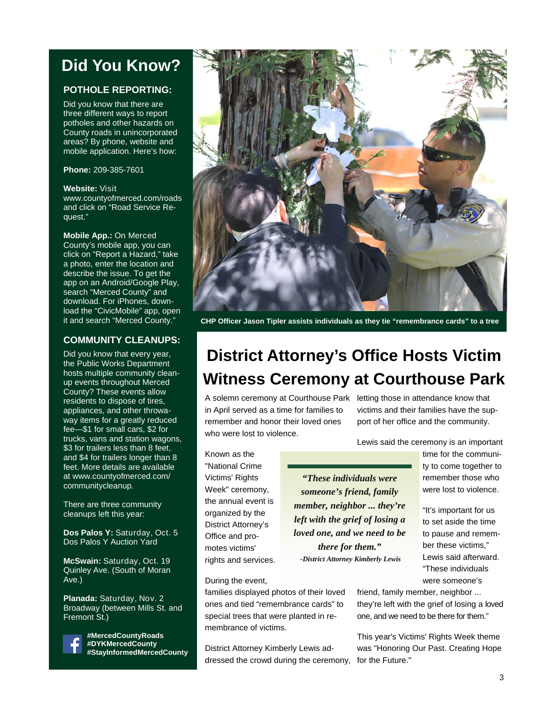## **Did You Know?**

#### **POTHOLE REPORTING:**

Did you know that there are three different ways to report potholes and other hazards on County roads in unincorporated areas? By phone, website and mobile application. Here's how:

**Phone:** 209-385-7601

#### **Website:** Visit

www.countyofmerced.com/roads and click on "Road Service Request."

#### **Mobile App.:** On Merced

County's mobile app, you can click on "Report a Hazard," take a photo, enter the location and describe the issue. To get the app on an Android/Google Play, search "Merced County" and download. For iPhones, download the "CivicMobile" app, open it and search "Merced County."

#### **COMMUNITY CLEANUPS:**

Did you know that every year, the Public Works Department hosts multiple community cleanup events throughout Merced County? These events allow residents to dispose of tires, appliances, and other throwaway items for a greatly reduced fee—\$1 for small cars, \$2 for trucks, vans and station wagons, \$3 for trailers less than 8 feet, and \$4 for trailers longer than 8 feet. More details are available at www.countyofmerced.com/ communitycleanup.

There are three community cleanups left this year:

**Dos Palos Y:** Saturday, Oct. 5 Dos Palos Y Auction Yard

**McSwain:** Saturday, Oct. 19 Quinley Ave. (South of Moran Ave.)

**Planada:** Saturday, Nov. 2 Broadway (between Mills St. and Fremont St.)



**#MercedCountyRoads #DYKMercedCounty #StayInformedMercedCounty** 



**CHP Officer Jason Tipler assists individuals as they tie "remembrance cards" to a tree** 

## **District Attorney's Office Hosts Victim Witness Ceremony at Courthouse Park**

A solemn ceremony at Courthouse Park letting those in attendance know that in April served as a time for families to remember and honor their loved ones who were lost to violence.

victims and their families have the support of her office and the community.

Lewis said the ceremony is an important

Known as the "National Crime Victims' Rights Week" ceremony, the annual event is organized by the District Attorney's Office and promotes victims' rights and services.

During the event,

*"These individuals were someone's friend, family member, neighbor ... they're left with the grief of losing a loved one, and we need to be there for them." -District Attorney Kimberly Lewis* 

time for the community to come together to remember those who were lost to violence.

"It's important for us to set aside the time to pause and remember these victims," Lewis said afterward. "These individuals were someone's

families displayed photos of their loved ones and tied "remembrance cards" to special trees that were planted in remembrance of victims.

District Attorney Kimberly Lewis addressed the crowd during the ceremony, for the Future."

friend, family member, neighbor ... they're left with the grief of losing a loved one, and we need to be there for them."

This year's Victims' Rights Week theme was "Honoring Our Past. Creating Hope